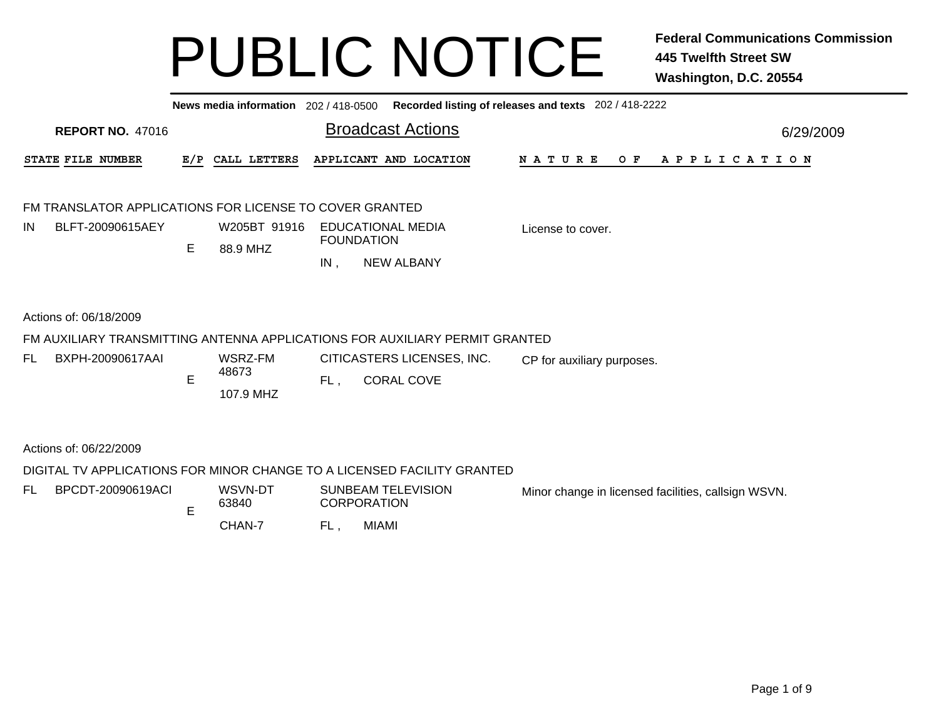|     | News media information 202 / 418-0500 Recorded listing of releases and texts 202 / 418-2222 |    |                          |     |                                                 |                            |                                                     |  |  |  |  |  |  |  |
|-----|---------------------------------------------------------------------------------------------|----|--------------------------|-----|-------------------------------------------------|----------------------------|-----------------------------------------------------|--|--|--|--|--|--|--|
|     | <b>REPORT NO. 47016</b>                                                                     |    |                          |     | <b>Broadcast Actions</b>                        |                            | 6/29/2009                                           |  |  |  |  |  |  |  |
|     | STATE FILE NUMBER                                                                           |    | E/P CALL LETTERS         |     | APPLICANT AND LOCATION                          |                            | N A T U R E<br>O F<br>A P P L I C A T I O N         |  |  |  |  |  |  |  |
|     | FM TRANSLATOR APPLICATIONS FOR LICENSE TO COVER GRANTED                                     |    |                          |     |                                                 |                            |                                                     |  |  |  |  |  |  |  |
| IN  | BLFT-20090615AEY                                                                            | E. | W205BT 91916<br>88.9 MHZ |     | <b>EDUCATIONAL MEDIA</b><br><b>FOUNDATION</b>   |                            | License to cover.                                   |  |  |  |  |  |  |  |
|     |                                                                                             |    |                          | IN, | <b>NEW ALBANY</b>                               |                            |                                                     |  |  |  |  |  |  |  |
|     | Actions of: 06/18/2009                                                                      |    |                          |     |                                                 |                            |                                                     |  |  |  |  |  |  |  |
|     | FM AUXILIARY TRANSMITTING ANTENNA APPLICATIONS FOR AUXILIARY PERMIT GRANTED                 |    |                          |     |                                                 |                            |                                                     |  |  |  |  |  |  |  |
| FL. | BXPH-20090617AAI                                                                            |    | WSRZ-FM<br>48673         |     |                                                 | CITICASTERS LICENSES, INC. | CP for auxiliary purposes.                          |  |  |  |  |  |  |  |
|     |                                                                                             | E  | 107.9 MHZ                | FL. | <b>CORAL COVE</b>                               |                            |                                                     |  |  |  |  |  |  |  |
|     | Actions of: 06/22/2009                                                                      |    |                          |     |                                                 |                            |                                                     |  |  |  |  |  |  |  |
|     | DIGITAL TV APPLICATIONS FOR MINOR CHANGE TO A LICENSED FACILITY GRANTED                     |    |                          |     |                                                 |                            |                                                     |  |  |  |  |  |  |  |
| FL. | BPCDT-20090619ACI                                                                           | E  | WSVN-DT<br>63840         |     | <b>SUNBEAM TELEVISION</b><br><b>CORPORATION</b> |                            | Minor change in licensed facilities, callsign WSVN. |  |  |  |  |  |  |  |
|     |                                                                                             |    | CHAN-7                   | FL, | <b>MIAMI</b>                                    |                            |                                                     |  |  |  |  |  |  |  |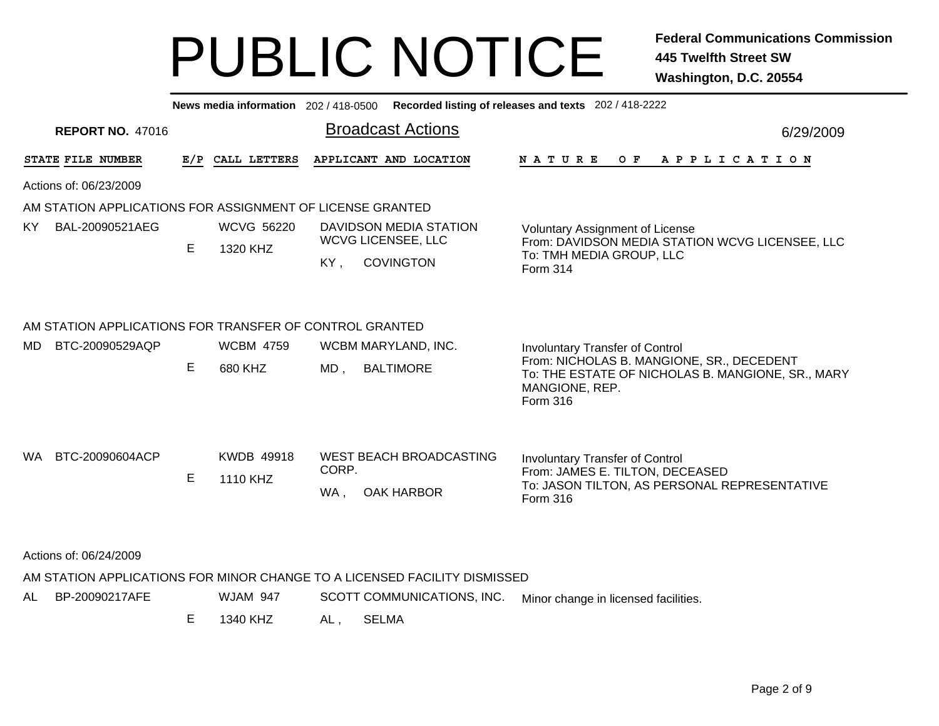Broadcast Actions 6/29/2009**News media information** 202 / 418-0500 **Recorded listing of releases and texts** 202 / 418-2222 **REPORT NO.** 47016STATE FILE NUMBER **FILE NUMBER E/P CALL LETTERS APPLICANT AND LOCATION N A T U R E O F A P P L I C A T I O N** Actions of: 06/23/2009AM STATION APPLICATIONS FOR ASSIGNMENT OF LICENSE GRANTED**COVINGTON** E 1320 KHZKY. Voluntary Assignment of License From: DAVIDSON MEDIA STATION WCVG LICENSEE, LLC To: TMH MEDIA GROUP, LLC Form 314DAVIDSON MEDIA STATIONWCVG LICENSEE, LLC KY BAL-20090521AEG WCVG 56220 AM STATION APPLICATIONS FOR TRANSFER OF CONTROL GRANTEDE 680 KHZ MD , BALTIMORE Involuntary Transfer of Control From: NICHOLAS B. MANGIONE, SR., DECEDENT To: THE ESTATE OF NICHOLAS B. MANGIONE, SR., MARY MANGIONE, REP. Form 316MD BTC-20090529AQP WCBM 4759 WCBM MARYLAND, INC. WA , OAK HARBOR E 1110 KHZInvoluntary Transfer of Control From: JAMES E. TILTON, DECEASED To: JASON TILTON, AS PERSONAL REPRESENTATIVE Form 316WEST BEACH BROADCASTINGCORP.WA BTC-20090604ACP KWDB 49918 Actions of: 06/24/2009AM STATION APPLICATIONS FOR MINOR CHANGE TO A LICENSED FACILITY DISMISSEDE 1340 KHZAL, SELMA AL BP-20090217AFEWJAM 947 SCOTT COMMUNICATIONS, INC. Minor change in licensed facilities.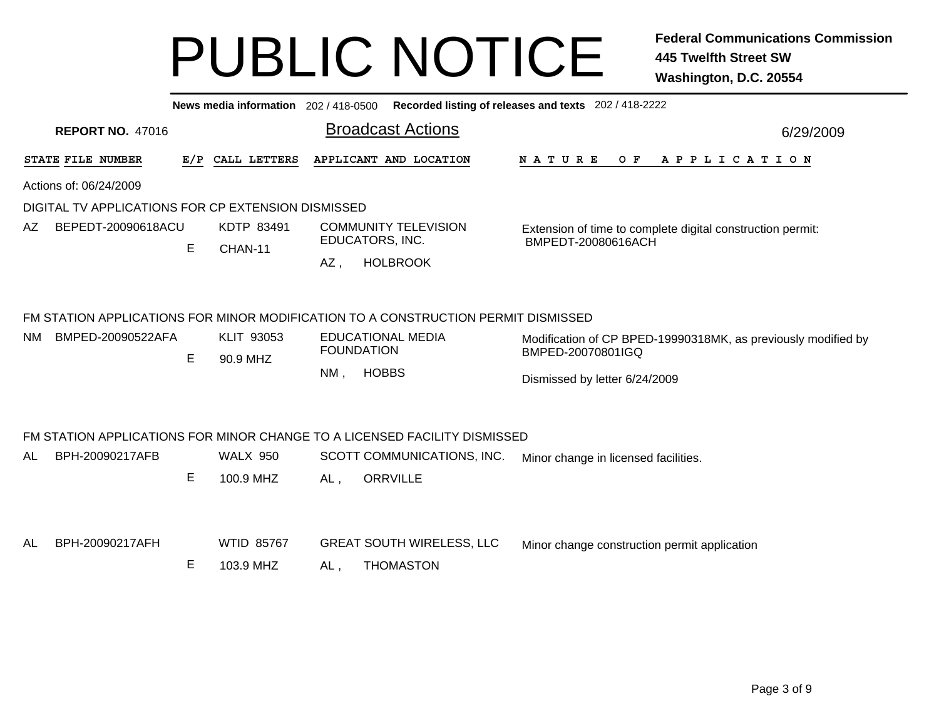|     |                                                    |   |                                |                                                                                           | News media information 202 / 418-0500 Recorded listing of releases and texts 202 / 418-2222 |  |                                                                                  |  |                   |     |                   |  |  |                       |  |           |  |  |  |  |  |  |  |  |
|-----|----------------------------------------------------|---|--------------------------------|-------------------------------------------------------------------------------------------|---------------------------------------------------------------------------------------------|--|----------------------------------------------------------------------------------|--|-------------------|-----|-------------------|--|--|-----------------------|--|-----------|--|--|--|--|--|--|--|--|
|     | <b>REPORT NO. 47016</b>                            |   |                                |                                                                                           | <b>Broadcast Actions</b>                                                                    |  |                                                                                  |  |                   |     |                   |  |  |                       |  | 6/29/2009 |  |  |  |  |  |  |  |  |
|     | STATE FILE NUMBER                                  |   | E/P CALL LETTERS               |                                                                                           | APPLICANT AND LOCATION                                                                      |  | N A T U R E                                                                      |  |                   | O F |                   |  |  | A P P L I C A T I O N |  |           |  |  |  |  |  |  |  |  |
|     | Actions of: 06/24/2009                             |   |                                |                                                                                           |                                                                                             |  |                                                                                  |  |                   |     |                   |  |  |                       |  |           |  |  |  |  |  |  |  |  |
|     | DIGITAL TV APPLICATIONS FOR CP EXTENSION DISMISSED |   |                                |                                                                                           |                                                                                             |  |                                                                                  |  |                   |     |                   |  |  |                       |  |           |  |  |  |  |  |  |  |  |
| AZ. | BEPEDT-20090618ACU                                 |   | KDTP 83491                     |                                                                                           | <b>COMMUNITY TELEVISION</b>                                                                 |  |                                                                                  |  |                   |     |                   |  |  |                       |  |           |  |  |  |  |  |  |  |  |
|     |                                                    | E | CHAN-11                        |                                                                                           | EDUCATORS, INC.                                                                             |  | Extension of time to complete digital construction permit:<br>BMPEDT-20080616ACH |  |                   |     |                   |  |  |                       |  |           |  |  |  |  |  |  |  |  |
|     |                                                    |   |                                | $AZ$ ,                                                                                    | <b>HOLBROOK</b>                                                                             |  |                                                                                  |  |                   |     |                   |  |  |                       |  |           |  |  |  |  |  |  |  |  |
|     |                                                    |   |                                |                                                                                           | FM STATION APPLICATIONS FOR MINOR MODIFICATION TO A CONSTRUCTION PERMIT DISMISSED           |  |                                                                                  |  |                   |     |                   |  |  |                       |  |           |  |  |  |  |  |  |  |  |
| NM. | BMPED-20090522AFA                                  |   | KLIT 93053                     | <b>EDUCATIONAL MEDIA</b><br>Modification of CP BPED-19990318MK, as previously modified by |                                                                                             |  |                                                                                  |  |                   |     |                   |  |  |                       |  |           |  |  |  |  |  |  |  |  |
|     |                                                    | E | 90.9 MHZ                       |                                                                                           |                                                                                             |  |                                                                                  |  | <b>FOUNDATION</b> |     | BMPED-20070801IGQ |  |  |                       |  |           |  |  |  |  |  |  |  |  |
|     |                                                    |   |                                | NM,<br><b>HOBBS</b><br>Dismissed by letter 6/24/2009                                      |                                                                                             |  |                                                                                  |  |                   |     |                   |  |  |                       |  |           |  |  |  |  |  |  |  |  |
|     |                                                    |   |                                |                                                                                           | FM STATION APPLICATIONS FOR MINOR CHANGE TO A LICENSED FACILITY DISMISSED                   |  |                                                                                  |  |                   |     |                   |  |  |                       |  |           |  |  |  |  |  |  |  |  |
| AL  | BPH-20090217AFB                                    |   | <b>WALX 950</b>                |                                                                                           | SCOTT COMMUNICATIONS, INC.                                                                  |  | Minor change in licensed facilities.                                             |  |                   |     |                   |  |  |                       |  |           |  |  |  |  |  |  |  |  |
|     |                                                    | Е | 100.9 MHZ                      | $AL$ ,                                                                                    | <b>ORRVILLE</b>                                                                             |  |                                                                                  |  |                   |     |                   |  |  |                       |  |           |  |  |  |  |  |  |  |  |
| AL  | BPH-20090217AFH                                    | E | <b>WTID 85767</b><br>103.9 MHZ | $AL$ ,                                                                                    | <b>GREAT SOUTH WIRELESS, LLC</b><br><b>THOMASTON</b>                                        |  | Minor change construction permit application                                     |  |                   |     |                   |  |  |                       |  |           |  |  |  |  |  |  |  |  |
|     |                                                    |   |                                |                                                                                           |                                                                                             |  |                                                                                  |  |                   |     |                   |  |  |                       |  |           |  |  |  |  |  |  |  |  |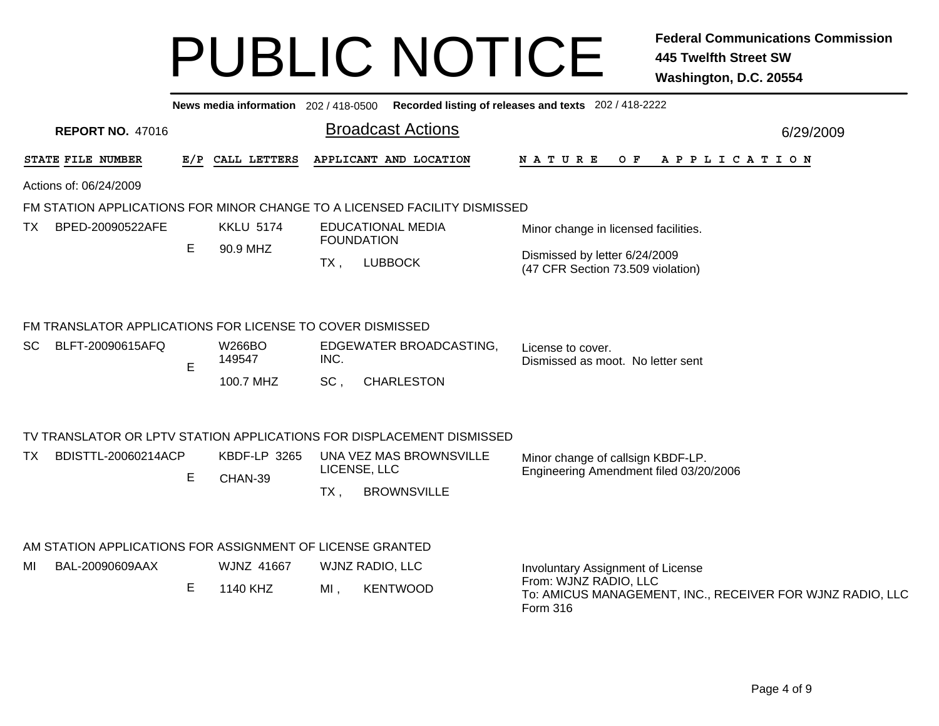|    |                                                           |   |                   |                   |                                                                           | News media information 202 / 418-0500 Recorded listing of releases and texts 202 / 418-2222    |           |
|----|-----------------------------------------------------------|---|-------------------|-------------------|---------------------------------------------------------------------------|------------------------------------------------------------------------------------------------|-----------|
|    | <b>REPORT NO. 47016</b>                                   |   |                   |                   | <b>Broadcast Actions</b>                                                  |                                                                                                | 6/29/2009 |
|    | STATE FILE NUMBER                                         |   | E/P CALL LETTERS  |                   | APPLICANT AND LOCATION                                                    | N A T U R E<br>O F<br>A P P L I C A T I O N                                                    |           |
|    | Actions of: 06/24/2009                                    |   |                   |                   |                                                                           |                                                                                                |           |
|    |                                                           |   |                   |                   | FM STATION APPLICATIONS FOR MINOR CHANGE TO A LICENSED FACILITY DISMISSED |                                                                                                |           |
| TX | BPED-20090522AFE                                          |   | <b>KKLU 5174</b>  | <b>FOUNDATION</b> | <b>EDUCATIONAL MEDIA</b>                                                  | Minor change in licensed facilities.                                                           |           |
|    |                                                           | Е | 90.9 MHZ          | $TX$ ,            | <b>LUBBOCK</b>                                                            | Dismissed by letter 6/24/2009<br>(47 CFR Section 73.509 violation)                             |           |
|    | FM TRANSLATOR APPLICATIONS FOR LICENSE TO COVER DISMISSED |   |                   |                   |                                                                           |                                                                                                |           |
| SC | BLFT-20090615AFQ                                          | E | W266BO<br>149547  | INC.              | EDGEWATER BROADCASTING,                                                   | License to cover.<br>Dismissed as moot. No letter sent                                         |           |
|    |                                                           |   | 100.7 MHZ         | SC,               | <b>CHARLESTON</b>                                                         |                                                                                                |           |
|    |                                                           |   |                   |                   | TV TRANSLATOR OR LPTV STATION APPLICATIONS FOR DISPLACEMENT DISMISSED     |                                                                                                |           |
| TX | BDISTTL-20060214ACP                                       |   | KBDF-LP 3265      | LICENSE, LLC      | UNA VEZ MAS BROWNSVILLE                                                   | Minor change of callsign KBDF-LP.                                                              |           |
|    |                                                           | Е | CHAN-39           | $TX$ ,            | <b>BROWNSVILLE</b>                                                        | Engineering Amendment filed 03/20/2006                                                         |           |
|    |                                                           |   |                   |                   |                                                                           |                                                                                                |           |
|    | AM STATION APPLICATIONS FOR ASSIGNMENT OF LICENSE GRANTED |   |                   |                   |                                                                           |                                                                                                |           |
| MI | BAL-20090609AAX                                           |   | <b>WJNZ 41667</b> | WJNZ RADIO, LLC   |                                                                           | Involuntary Assignment of License                                                              |           |
|    |                                                           | Е | 1140 KHZ          | MI,               | <b>KENTWOOD</b>                                                           | From: WJNZ RADIO, LLC<br>To: AMICUS MANAGEMENT, INC., RECEIVER FOR WJNZ RADIO, LLC<br>Form 316 |           |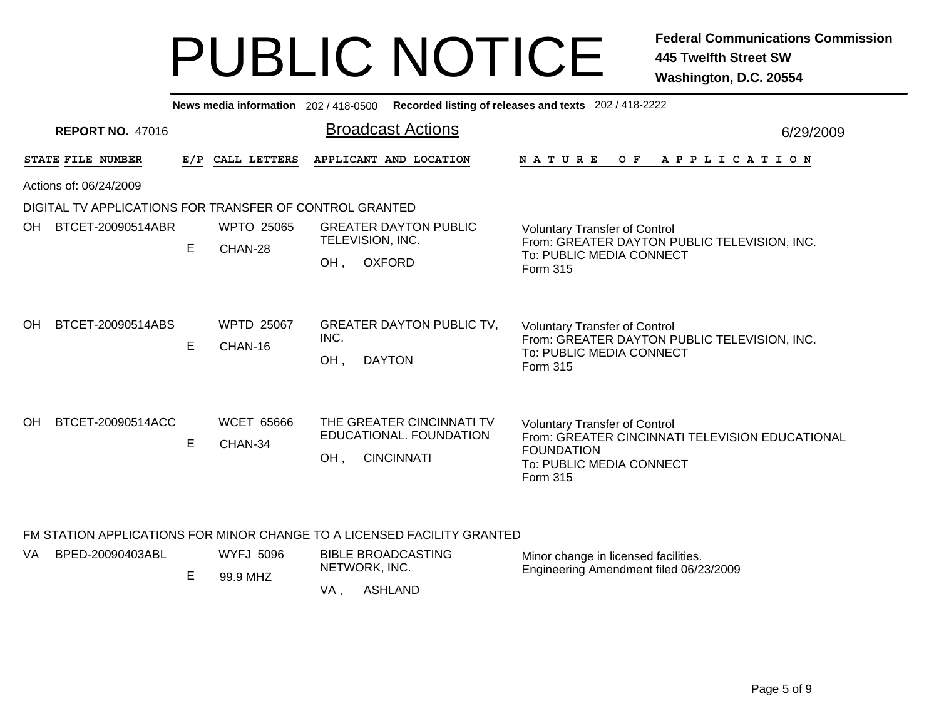|     |                                                                         |     | News media information 202 / 418-0500 |                         |                                                                           | Recorded listing of releases and texts 202 / 418-2222                                                                                                |
|-----|-------------------------------------------------------------------------|-----|---------------------------------------|-------------------------|---------------------------------------------------------------------------|------------------------------------------------------------------------------------------------------------------------------------------------------|
|     | <b>REPORT NO. 47016</b>                                                 |     |                                       |                         | <b>Broadcast Actions</b>                                                  | 6/29/2009                                                                                                                                            |
|     | STATE FILE NUMBER                                                       | E/P | CALL LETTERS                          |                         | APPLICANT AND LOCATION                                                    | <b>NATURE</b><br>O F<br>A P P L I C A T I O N                                                                                                        |
|     | Actions of: 06/24/2009                                                  |     |                                       |                         |                                                                           |                                                                                                                                                      |
|     | DIGITAL TV APPLICATIONS FOR TRANSFER OF CONTROL GRANTED                 |     |                                       |                         |                                                                           |                                                                                                                                                      |
| OH. | BTCET-20090514ABR                                                       | E   | <b>WPTO 25065</b><br>CHAN-28          | TELEVISION, INC.<br>OH, | <b>GREATER DAYTON PUBLIC</b><br><b>OXFORD</b>                             | <b>Voluntary Transfer of Control</b><br>From: GREATER DAYTON PUBLIC TELEVISION, INC.<br>To: PUBLIC MEDIA CONNECT<br>Form 315                         |
| OH. | BTCET-20090514ABS                                                       | Е   | <b>WPTD 25067</b><br>CHAN-16          | INC.<br>OH,             | <b>GREATER DAYTON PUBLIC TV,</b><br><b>DAYTON</b>                         | <b>Voluntary Transfer of Control</b><br>From: GREATER DAYTON PUBLIC TELEVISION, INC.<br>To: PUBLIC MEDIA CONNECT<br>Form 315                         |
| OH. | BTCET-20090514ACC                                                       | E   | <b>WCET 65666</b><br>CHAN-34          | OH.                     | THE GREATER CINCINNATI TV<br>EDUCATIONAL. FOUNDATION<br><b>CINCINNATI</b> | <b>Voluntary Transfer of Control</b><br>From: GREATER CINCINNATI TELEVISION EDUCATIONAL<br><b>FOUNDATION</b><br>To: PUBLIC MEDIA CONNECT<br>Form 315 |
|     | FM STATION APPLICATIONS FOR MINOR CHANGE TO A LICENSED FACILITY GRANTED |     |                                       |                         |                                                                           |                                                                                                                                                      |
| VA. | BPED-20090403ABL                                                        |     | <b>WYFJ 5096</b><br>.                 | NETWORK, INC.           | <b>BIBLE BROADCASTING</b>                                                 | Minor change in licensed facilities.<br>Engineering Amendment filed 06/23/2009                                                                       |

VA , ASHLAND

E

99.9 MHZ

Page 5 of 9

Engineering Amendment filed 06/23/2009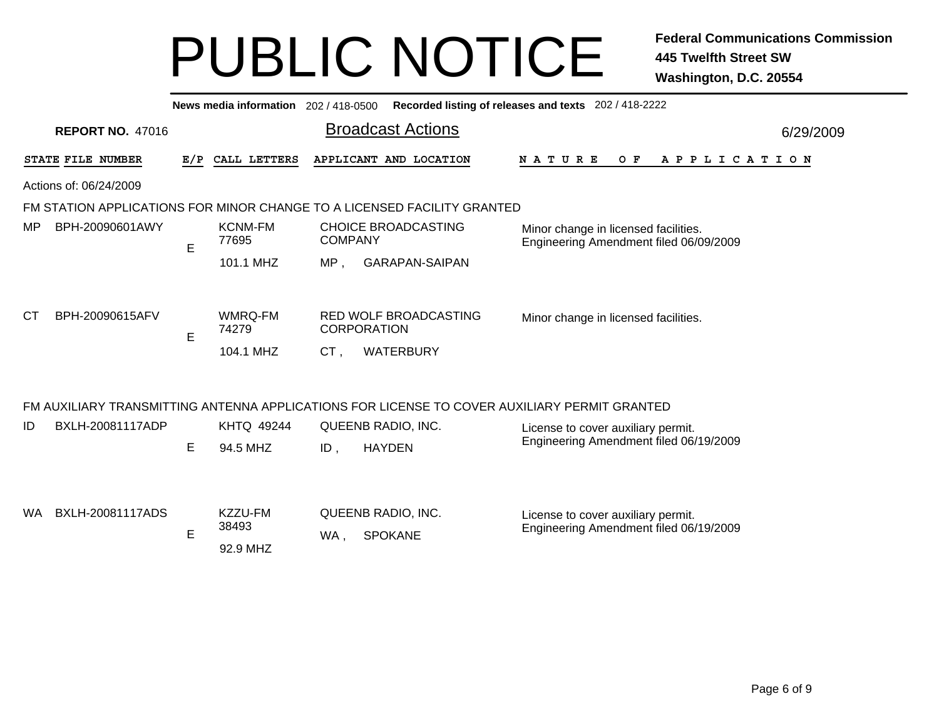| News media information 202 / 418-0500 Recorded listing of releases and texts 202 / 418-2222 |     |                               |                          |                                                                                              |  |             |  |  |  |  |  |       |  |                                      |                                        |  |  |  |           |  |  |  |  |
|---------------------------------------------------------------------------------------------|-----|-------------------------------|--------------------------|----------------------------------------------------------------------------------------------|--|-------------|--|--|--|--|--|-------|--|--------------------------------------|----------------------------------------|--|--|--|-----------|--|--|--|--|
| <b>REPORT NO. 47016</b>                                                                     |     |                               | <b>Broadcast Actions</b> |                                                                                              |  |             |  |  |  |  |  |       |  |                                      |                                        |  |  |  | 6/29/2009 |  |  |  |  |
| STATE FILE NUMBER                                                                           | E/P | CALL LETTERS                  |                          | APPLICANT AND LOCATION                                                                       |  | N A T U R E |  |  |  |  |  | $O$ F |  |                                      | A P P L I C A T I O N                  |  |  |  |           |  |  |  |  |
| Actions of: 06/24/2009                                                                      |     |                               |                          |                                                                                              |  |             |  |  |  |  |  |       |  |                                      |                                        |  |  |  |           |  |  |  |  |
| FM STATION APPLICATIONS FOR MINOR CHANGE TO A LICENSED FACILITY GRANTED                     |     |                               |                          |                                                                                              |  |             |  |  |  |  |  |       |  |                                      |                                        |  |  |  |           |  |  |  |  |
| MP<br>BPH-20090601AWY                                                                       | E   | <b>KCNM-FM</b><br>77695       | <b>COMPANY</b>           | <b>CHOICE BROADCASTING</b>                                                                   |  |             |  |  |  |  |  |       |  | Minor change in licensed facilities. | Engineering Amendment filed 06/09/2009 |  |  |  |           |  |  |  |  |
|                                                                                             |     | 101.1 MHZ                     | MP.                      | <b>GARAPAN-SAIPAN</b>                                                                        |  |             |  |  |  |  |  |       |  |                                      |                                        |  |  |  |           |  |  |  |  |
| <b>CT</b><br>BPH-20090615AFV                                                                | E   | WMRQ-FM<br>74279<br>104.1 MHZ | CT,                      | RED WOLF BROADCASTING<br><b>CORPORATION</b><br>WATERBURY                                     |  |             |  |  |  |  |  |       |  | Minor change in licensed facilities. |                                        |  |  |  |           |  |  |  |  |
|                                                                                             |     |                               |                          | FM AUXILIARY TRANSMITTING ANTENNA APPLICATIONS FOR LICENSE TO COVER AUXILIARY PERMIT GRANTED |  |             |  |  |  |  |  |       |  |                                      |                                        |  |  |  |           |  |  |  |  |
| BXLH-20081117ADP<br>ID                                                                      |     | <b>KHTQ 49244</b>             |                          | QUEENB RADIO, INC.                                                                           |  |             |  |  |  |  |  |       |  | License to cover auxiliary permit.   |                                        |  |  |  |           |  |  |  |  |
|                                                                                             | Е   | 94.5 MHZ                      | $ID$ .                   | <b>HAYDEN</b>                                                                                |  |             |  |  |  |  |  |       |  |                                      | Engineering Amendment filed 06/19/2009 |  |  |  |           |  |  |  |  |
| BXLH-20081117ADS<br><b>WA</b>                                                               | E   | KZZU-FM<br>38493<br>92.9 MHZ  | WA,                      | QUEENB RADIO, INC.<br><b>SPOKANE</b>                                                         |  |             |  |  |  |  |  |       |  | License to cover auxiliary permit.   | Engineering Amendment filed 06/19/2009 |  |  |  |           |  |  |  |  |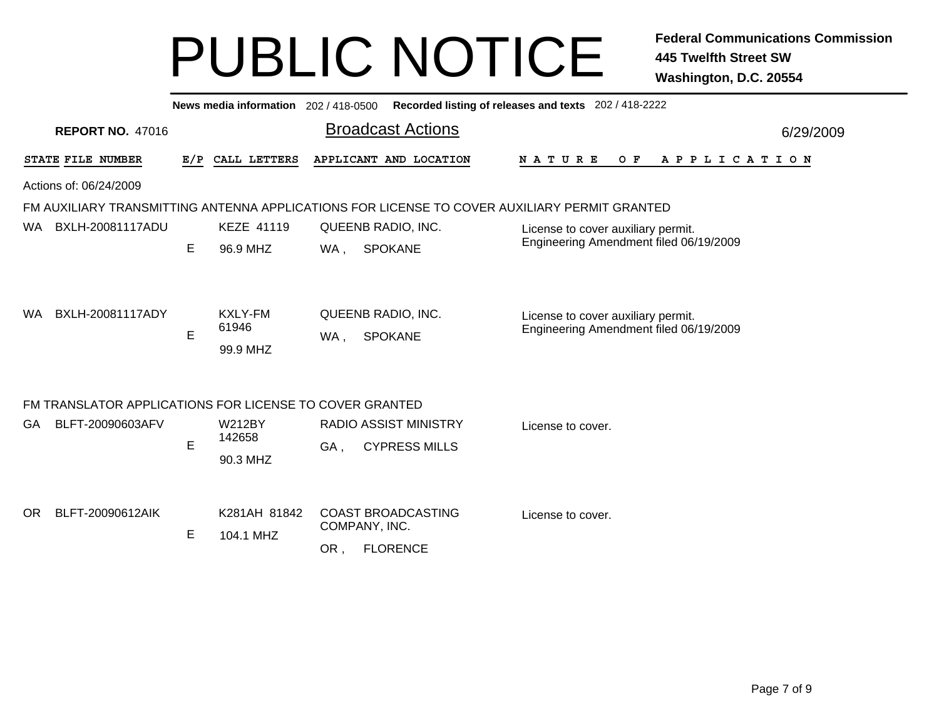| News media information 202 / 418-0500<br>Recorded listing of releases and texts 202 / 418-2222 |     |                                     |                                                                                              |                                                                              |           |  |  |  |  |  |  |  |  |
|------------------------------------------------------------------------------------------------|-----|-------------------------------------|----------------------------------------------------------------------------------------------|------------------------------------------------------------------------------|-----------|--|--|--|--|--|--|--|--|
| <b>REPORT NO. 47016</b>                                                                        |     |                                     | <b>Broadcast Actions</b>                                                                     |                                                                              | 6/29/2009 |  |  |  |  |  |  |  |  |
| STATE FILE NUMBER                                                                              | E/P | CALL LETTERS                        | APPLICANT AND LOCATION                                                                       | <b>NATURE</b><br>O F<br>A P P L I C A T I O N                                |           |  |  |  |  |  |  |  |  |
| Actions of: 06/24/2009                                                                         |     |                                     |                                                                                              |                                                                              |           |  |  |  |  |  |  |  |  |
|                                                                                                |     |                                     | FM AUXILIARY TRANSMITTING ANTENNA APPLICATIONS FOR LICENSE TO COVER AUXILIARY PERMIT GRANTED |                                                                              |           |  |  |  |  |  |  |  |  |
| BXLH-20081117ADU<br>WA.                                                                        |     | <b>KEZE 41119</b>                   | QUEENB RADIO, INC.                                                                           | License to cover auxiliary permit.                                           |           |  |  |  |  |  |  |  |  |
|                                                                                                | E   | 96.9 MHZ                            | <b>SPOKANE</b><br>WA,                                                                        | Engineering Amendment filed 06/19/2009                                       |           |  |  |  |  |  |  |  |  |
| BXLH-20081117ADY<br>WA.                                                                        | E   | <b>KXLY-FM</b><br>61946<br>99.9 MHZ | QUEENB RADIO, INC.<br><b>SPOKANE</b><br>WA,                                                  | License to cover auxiliary permit.<br>Engineering Amendment filed 06/19/2009 |           |  |  |  |  |  |  |  |  |
| FM TRANSLATOR APPLICATIONS FOR LICENSE TO COVER GRANTED                                        |     |                                     |                                                                                              |                                                                              |           |  |  |  |  |  |  |  |  |
| BLFT-20090603AFV<br>GA                                                                         |     | <b>W212BY</b>                       | <b>RADIO ASSIST MINISTRY</b>                                                                 | License to cover.                                                            |           |  |  |  |  |  |  |  |  |
|                                                                                                | E   | 142658                              | <b>CYPRESS MILLS</b><br>GA,                                                                  |                                                                              |           |  |  |  |  |  |  |  |  |
|                                                                                                |     | 90.3 MHZ                            |                                                                                              |                                                                              |           |  |  |  |  |  |  |  |  |
| BLFT-20090612AIK<br>OR.                                                                        | E   | K281AH 81842<br>104.1 MHZ           | <b>COAST BROADCASTING</b><br>COMPANY, INC.<br><b>FLORENCE</b><br>OR,                         | License to cover.                                                            |           |  |  |  |  |  |  |  |  |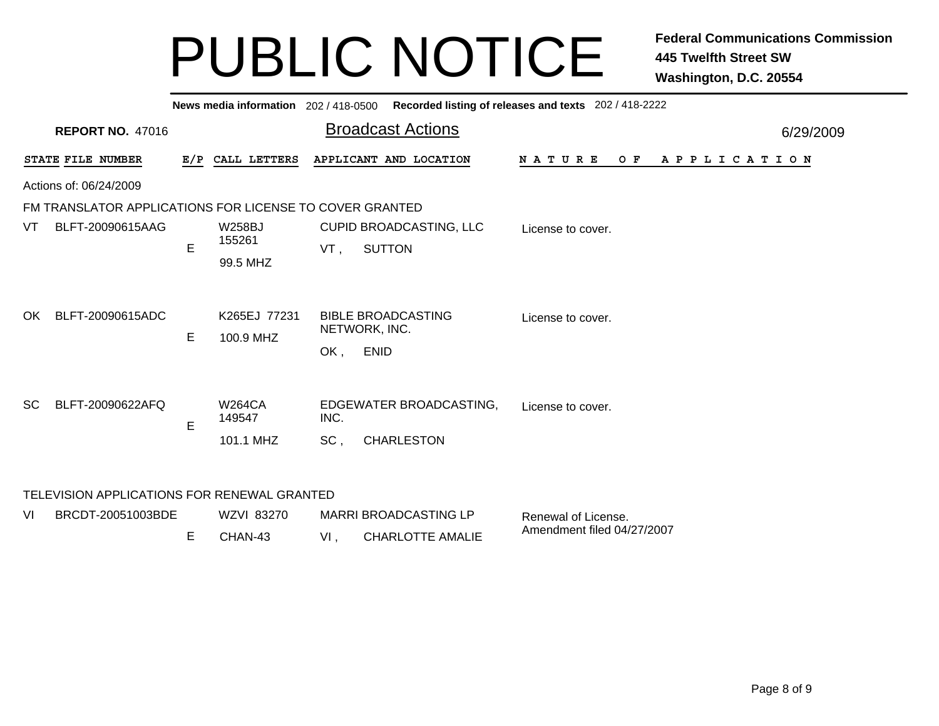|     | News media information 202 / 418-0500 Recorded listing of releases and texts 202 / 418-2222 |   |                           |        |                                            |                               |           |  |  |  |  |  |  |  |
|-----|---------------------------------------------------------------------------------------------|---|---------------------------|--------|--------------------------------------------|-------------------------------|-----------|--|--|--|--|--|--|--|
|     | <b>REPORT NO. 47016</b>                                                                     |   |                           |        | <b>Broadcast Actions</b>                   |                               | 6/29/2009 |  |  |  |  |  |  |  |
|     | STATE FILE NUMBER                                                                           |   | E/P CALL LETTERS          |        | APPLICANT AND LOCATION                     | N A T U R E<br>OF APPLICATION |           |  |  |  |  |  |  |  |
|     | Actions of: 06/24/2009                                                                      |   |                           |        |                                            |                               |           |  |  |  |  |  |  |  |
|     | FM TRANSLATOR APPLICATIONS FOR LICENSE TO COVER GRANTED                                     |   |                           |        |                                            |                               |           |  |  |  |  |  |  |  |
| VT  | BLFT-20090615AAG                                                                            | E | <b>W258BJ</b><br>155261   | VT,    | CUPID BROADCASTING, LLC<br><b>SUTTON</b>   | License to cover.             |           |  |  |  |  |  |  |  |
|     |                                                                                             |   | 99.5 MHZ                  |        |                                            |                               |           |  |  |  |  |  |  |  |
| OK. | BLFT-20090615ADC                                                                            | E | K265EJ 77231<br>100.9 MHZ |        | <b>BIBLE BROADCASTING</b><br>NETWORK, INC. | License to cover.             |           |  |  |  |  |  |  |  |
|     |                                                                                             |   |                           | OK,    | <b>ENID</b>                                |                               |           |  |  |  |  |  |  |  |
| SC. | BLFT-20090622AFQ                                                                            | E | <b>W264CA</b><br>149547   | INC.   | EDGEWATER BROADCASTING,                    | License to cover.             |           |  |  |  |  |  |  |  |
|     |                                                                                             |   | 101.1 MHZ                 | SC,    | <b>CHARLESTON</b>                          |                               |           |  |  |  |  |  |  |  |
|     | TELEVISION APPLICATIONS FOR RENEWAL GRANTED                                                 |   |                           |        |                                            |                               |           |  |  |  |  |  |  |  |
| VI  | BRCDT-20051003BDE                                                                           |   | WZVI 83270                |        | <b>MARRI BROADCASTING LP</b>               | Renewal of License.           |           |  |  |  |  |  |  |  |
|     |                                                                                             | Е | CHAN-43                   | $VI$ , | <b>CHARLOTTE AMALIE</b>                    | Amendment filed 04/27/2007    |           |  |  |  |  |  |  |  |